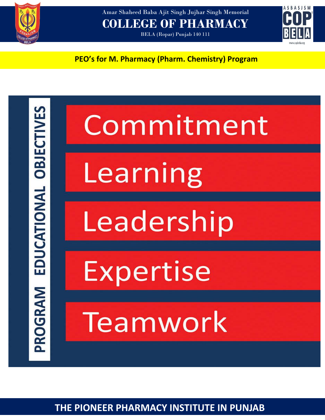

Amar Shaheed Baba Ajit Singh Jujhar Singh Memorial **COLLEGE OF PHARMACY**

BELA (Ropar) Punjab 140 111



**PEO's for M. Pharmacy (Pharm. Chemistry) Program**

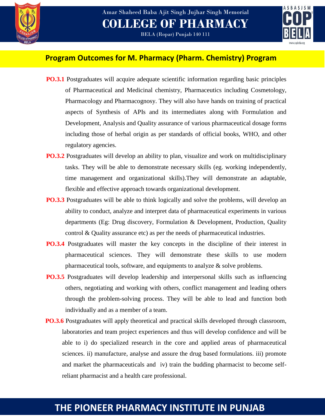

BELA (Ropar) Punjab 140 111



### **Program Outcomes for M. Pharmacy (Pharm. Chemistry) Program**

- **PO.3.1** Postgraduates will acquire adequate scientific information regarding basic principles of Pharmaceutical and Medicinal chemistry, Pharmaceutics including Cosmetology, Pharmacology and Pharmacognosy. They will also have hands on training of practical aspects of Synthesis of APIs and its intermediates along with Formulation and Development, Analysis and Quality assurance of various pharmaceutical dosage forms including those of herbal origin as per standards of official books, WHO, and other regulatory agencies.
- **PO.3.2** Postgraduates will develop an ability to plan, visualize and work on multidisciplinary tasks. They will be able to demonstrate necessary skills (eg. working independently, time management and organizational skills).They will demonstrate an adaptable, flexible and effective approach towards organizational development.
- **PO.3.3** Postgraduates will be able to think logically and solve the problems, will develop an ability to conduct, analyze and interpret data of pharmaceutical experiments in various departments (Eg: Drug discovery, Formulation & Development, Production, Quality control & Quality assurance etc) as per the needs of pharmaceutical industries.
- **PO.3.4** Postgraduates will master the key concepts in the discipline of their interest in pharmaceutical sciences. They will demonstrate these skills to use modern pharmaceutical tools, software, and equipments to analyze & solve problems.
- **PO.3.5** Postgraduates will develop leadership and interpersonal skills such as influencing others, negotiating and working with others, conflict management and leading others through the problem-solving process. They will be able to lead and function both individually and as a member of a team.
- **PO.3.6** Postgraduates will apply theoretical and practical skills developed through classroom, laboratories and team project experiences and thus will develop confidence and will be able to i) do specialized research in the core and applied areas of pharmaceutical sciences. ii) manufacture, analyse and assure the drug based formulations. iii) promote and market the pharmaceuticals and iv) train the budding pharmacist to become selfreliant pharmacist and a health care professional.

# **THE PIONEER PHARMACY INSTITUTE IN PUNJAB**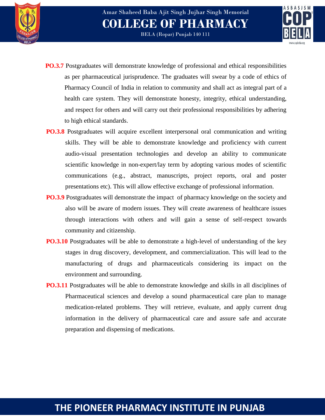



- BELA (Ropar) Punjab 140 111
- **PO.3.7** Postgraduates will demonstrate knowledge of professional and ethical responsibilities as per pharmaceutical jurisprudence. The graduates will swear by a code of ethics of Pharmacy Council of India in relation to community and shall act as integral part of a health care system. They will demonstrate honesty, integrity, ethical understanding, and respect for others and will carry out their professional responsibilities by adhering to high ethical standards.
- **PO.3.8** Postgraduates will acquire excellent interpersonal oral communication and writing skills. They will be able to demonstrate knowledge and proficiency with current audio-visual presentation technologies and develop an ability to communicate scientific knowledge in non-expert/lay term by adopting various modes of scientific communications (e.g., abstract, manuscripts, project reports, oral and poster presentations etc). This will allow effective exchange of professional information.
- **PO.3.9** Postgraduates will demonstrate the impact of pharmacy knowledge on the society and also will be aware of modern issues. They will create awareness of healthcare issues through interactions with others and will gain a sense of self-respect towards community and citizenship.
- **PO.3.10** Postgraduates will be able to demonstrate a high-level of understanding of the key stages in drug discovery, development, and commercialization. This will lead to the manufacturing of drugs and pharmaceuticals considering its impact on the environment and surrounding.
- **PO.3.11** Postgraduates will be able to demonstrate knowledge and skills in all disciplines of Pharmaceutical sciences and develop a sound pharmaceutical care plan to manage medication-related problems. They will retrieve, evaluate, and apply current drug information in the delivery of pharmaceutical care and assure safe and accurate preparation and dispensing of medications.

# **THE PIONEER PHARMACY INSTITUTE IN PUNJAB**